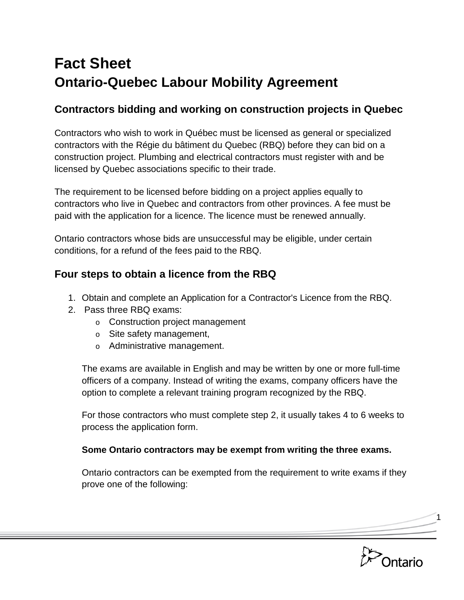# **Fact Sheet Ontario-Quebec Labour Mobility Agreement**

### **Contractors bidding and working on construction projects in Quebec**

Contractors who wish to work in Québec must be licensed as general or specialized contractors with the Régie du bâtiment du Quebec (RBQ) before they can bid on a construction project. Plumbing and electrical contractors must register with and be licensed by Quebec associations specific to their trade.

The requirement to be licensed before bidding on a project applies equally to contractors who live in Quebec and contractors from other provinces. A fee must be paid with the application for a licence. The licence must be renewed annually.

Ontario contractors whose bids are unsuccessful may be eligible, under certain conditions, for a refund of the fees paid to the RBQ.

# **Four steps to obtain a licence from the RBQ**

- 1. Obtain and complete an Application for a Contractor's Licence from the RBQ.
- 2. Pass three RBQ exams:
	- o Construction project management
	- o Site safety management,
	- o Administrative management.

The exams are available in English and may be written by one or more full-time officers of a company. Instead of writing the exams, company officers have the option to complete a relevant training program recognized by the RBQ.

For those contractors who must complete step 2, it usually takes 4 to 6 weeks to process the application form.

#### **Some Ontario contractors may be exempt from writing the three exams.**

Ontario contractors can be exempted from the requirement to write exams if they prove one of the following:

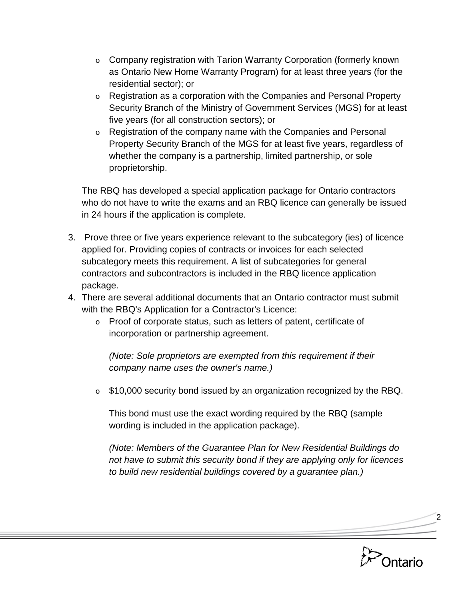- $\circ$  Company registration with Tarion Warranty Corporation (formerly known as Ontario New Home Warranty Program) for at least three years (for the residential sector); or
- $\circ$  Registration as a corporation with the Companies and Personal Property Security Branch of the Ministry of Government Services (MGS) for at least five years (for all construction sectors); or
- $\circ$  Registration of the company name with the Companies and Personal Property Security Branch of the MGS for at least five years, regardless of whether the company is a partnership, limited partnership, or sole proprietorship.

The RBQ has developed a special application package for Ontario contractors who do not have to write the exams and an RBQ licence can generally be issued in 24 hours if the application is complete.

- 3. Prove three or five years experience relevant to the subcategory (ies) of licence applied for. Providing copies of contracts or invoices for each selected subcategory meets this requirement. A list of subcategories for general contractors and subcontractors is included in the RBQ licence application package.
- 4. There are several additional documents that an Ontario contractor must submit with the RBQ's Application for a Contractor's Licence:
	- o Proof of corporate status, such as letters of patent, certificate of incorporation or partnership agreement.

*(Note: Sole proprietors are exempted from this requirement if their company name uses the owner's name.)*

o \$10,000 security bond issued by an organization recognized by the RBQ.

This bond must use the exact wording required by the RBQ (sample wording is included in the application package).

*(Note: Members of the Guarantee Plan for New Residential Buildings do not have to submit this security bond if they are applying only for licences to build new residential buildings covered by a guarantee plan.)*

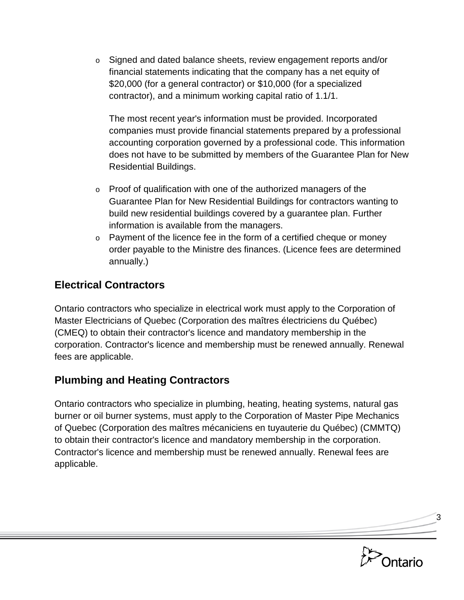o Signed and dated balance sheets, review engagement reports and/or financial statements indicating that the company has a net equity of \$20,000 (for a general contractor) or \$10,000 (for a specialized contractor), and a minimum working capital ratio of 1.1/1.

The most recent year's information must be provided. Incorporated companies must provide financial statements prepared by a professional accounting corporation governed by a professional code. This information does not have to be submitted by members of the Guarantee Plan for New Residential Buildings.

- $\circ$  Proof of qualification with one of the authorized managers of the Guarantee Plan for New Residential Buildings for contractors wanting to build new residential buildings covered by a guarantee plan. Further information is available from the managers.
- $\circ$  Payment of the licence fee in the form of a certified cheque or money order payable to the Ministre des finances. (Licence fees are determined annually.)

# **Electrical Contractors**

Ontario contractors who specialize in electrical work must apply to the Corporation of Master Electricians of Quebec (Corporation des maîtres électriciens du Québec) (CMEQ) to obtain their contractor's licence and mandatory membership in the corporation. Contractor's licence and membership must be renewed annually. Renewal fees are applicable.

# **Plumbing and Heating Contractors**

Ontario contractors who specialize in plumbing, heating, heating systems, natural gas burner or oil burner systems, must apply to the Corporation of Master Pipe Mechanics of Quebec (Corporation des maîtres mécaniciens en tuyauterie du Québec) (CMMTQ) to obtain their contractor's licence and mandatory membership in the corporation. Contractor's licence and membership must be renewed annually. Renewal fees are applicable.

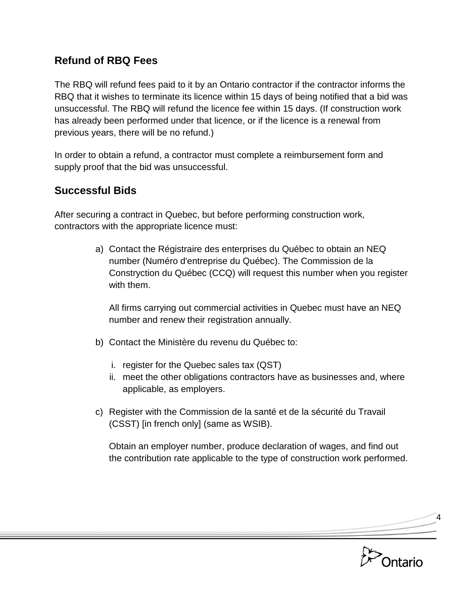#### **Refund of RBQ Fees**

The RBQ will refund fees paid to it by an Ontario contractor if the contractor informs the RBQ that it wishes to terminate its licence within 15 days of being notified that a bid was unsuccessful. The RBQ will refund the licence fee within 15 days. (If construction work has already been performed under that licence, or if the licence is a renewal from previous years, there will be no refund.)

In order to obtain a refund, a contractor must complete a reimbursement form and supply proof that the bid was unsuccessful.

#### **Successful Bids**

After securing a contract in Quebec, but before performing construction work, contractors with the appropriate licence must:

> a) Contact the Régistraire des enterprises du Québec to obtain an NEQ number (Numéro d'entreprise du Québec). The Commission de la Constryction du Québec (CCQ) will request this number when you register with them.

All firms carrying out commercial activities in Quebec must have an NEQ number and renew their registration annually.

- b) Contact the Ministère du revenu du Québec to:
	- i. register for the Quebec sales tax (QST)
	- ii. meet the other obligations contractors have as businesses and, where applicable, as employers.
- c) Register with the Commission de la santé et de la sécurité du Travail (CSST) [in french only] (same as WSIB).

Obtain an employer number, produce declaration of wages, and find out the contribution rate applicable to the type of construction work performed.

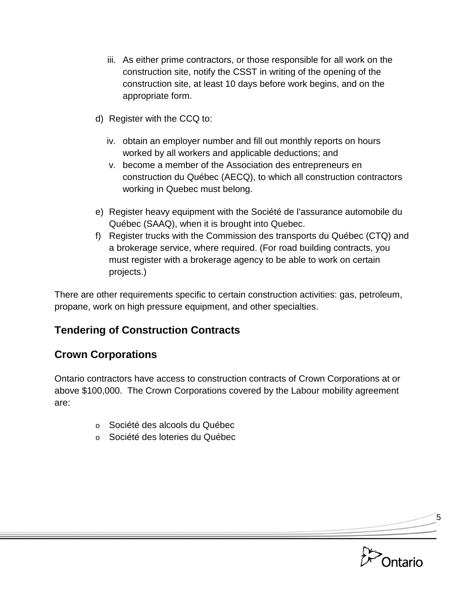- iii. As either prime contractors, or those responsible for all work on the construction site, notify the CSST in writing of the opening of the construction site, at least 10 days before work begins, and on the appropriate form.
- d) Register with the CCQ to:
	- iv. obtain an employer number and fill out monthly reports on hours worked by all workers and applicable deductions; and
	- v. become a member of the Association des entrepreneurs en construction du Québec (AECQ), to which all construction contractors working in Quebec must belong.
- e) Register heavy equipment with the Société de l'assurance automobile du Québec (SAAQ), when it is brought into Quebec.
- f) Register trucks with the Commission des transports du Québec (CTQ) and a brokerage service, where required. (For road building contracts, you must register with a brokerage agency to be able to work on certain projects.)

There are other requirements specific to certain construction activities: gas, petroleum, propane, work on high pressure equipment, and other specialties.

# **Tendering of Construction Contracts**

#### **Crown Corporations**

Ontario contractors have access to construction contracts of Crown Corporations at or above \$100,000. The Crown Corporations covered by the Labour mobility agreement are:

- o Société des alcools du Québec
- o Société des loteries du Québec

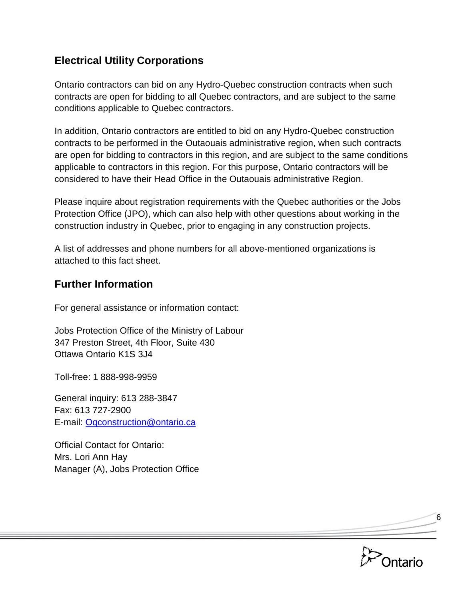#### **Electrical Utility Corporations**

Ontario contractors can bid on any Hydro-Quebec construction contracts when such contracts are open for bidding to all Quebec contractors, and are subject to the same conditions applicable to Quebec contractors.

In addition, Ontario contractors are entitled to bid on any Hydro-Quebec construction contracts to be performed in the Outaouais administrative region, when such contracts are open for bidding to contractors in this region, and are subject to the same conditions applicable to contractors in this region. For this purpose, Ontario contractors will be considered to have their Head Office in the Outaouais administrative Region.

Please inquire about registration requirements with the Quebec authorities or the Jobs Protection Office (JPO), which can also help with other questions about working in the construction industry in Quebec, prior to engaging in any construction projects.

A list of addresses and phone numbers for all above-mentioned organizations is attached to this fact sheet.

#### **Further Information**

For general assistance or information contact:

Jobs Protection Office of the Ministry of Labour 347 Preston Street, 4th Floor, Suite 430 Ottawa Ontario K1S 3J4

Toll-free: 1 888-998-9959

General inquiry: 613 288-3847 Fax: 613 727-2900 E-mail: [Oqconstruction@ontario.ca](mailto:Oqconstruction@ontario.ca)

Official Contact for Ontario: Mrs. Lori Ann Hay Manager (A), Jobs Protection Office

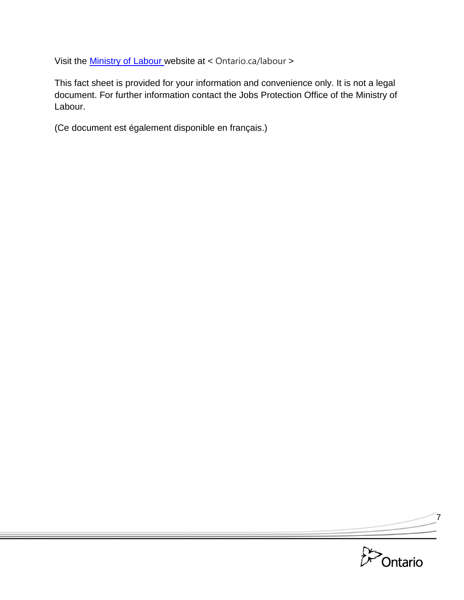Visit the [Ministry of Labour](https://www.labour.gov.on.ca/english/index.php) website at < Ontario.ca/labour >

This fact sheet is provided for your information and convenience only. It is not a legal document. For further information contact the Jobs Protection Office of the Ministry of Labour.

(Ce document est également disponible en français.)



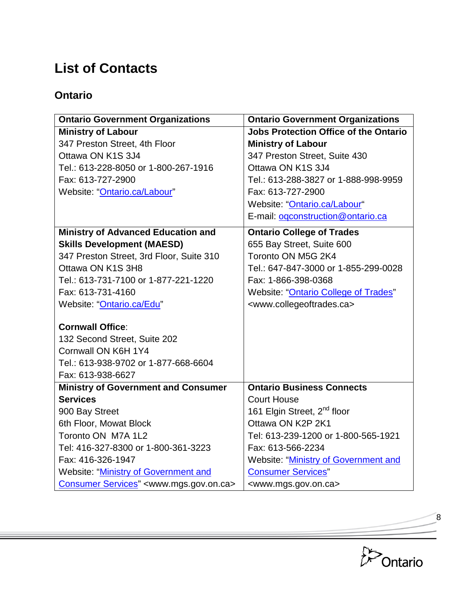# **List of Contacts**

# **Ontario**

| <b>Ontario Government Organizations</b>                    | <b>Ontario Government Organizations</b>           |
|------------------------------------------------------------|---------------------------------------------------|
| <b>Ministry of Labour</b>                                  | <b>Jobs Protection Office of the Ontario</b>      |
| 347 Preston Street, 4th Floor                              | <b>Ministry of Labour</b>                         |
| Ottawa ON K1S 3J4                                          | 347 Preston Street, Suite 430                     |
| Tel.: 613-228-8050 or 1-800-267-1916                       | Ottawa ON K1S 3J4                                 |
| Fax: 613-727-2900                                          | Tel.: 613-288-3827 or 1-888-998-9959              |
| Website: "Ontario.ca/Labour"                               | Fax: 613-727-2900                                 |
|                                                            | Website: "Ontario.ca/Labour"                      |
|                                                            | E-mail: ogconstruction@ontario.ca                 |
| <b>Ministry of Advanced Education and</b>                  | <b>Ontario College of Trades</b>                  |
| <b>Skills Development (MAESD)</b>                          | 655 Bay Street, Suite 600                         |
| 347 Preston Street, 3rd Floor, Suite 310                   | Toronto ON M5G 2K4                                |
| Ottawa ON K1S 3H8                                          | Tel.: 647-847-3000 or 1-855-299-0028              |
| Tel.: 613-731-7100 or 1-877-221-1220                       | Fax: 1-866-398-0368                               |
| Fax: 613-731-4160                                          | <b>Website: "Ontario College of Trades"</b>       |
| Website: "Ontario.ca/Edu"                                  | <www.collegeoftrades.ca></www.collegeoftrades.ca> |
| <b>Cornwall Office:</b>                                    |                                                   |
| 132 Second Street, Suite 202                               |                                                   |
| Cornwall ON K6H 1Y4                                        |                                                   |
| Tel.: 613-938-9702 or 1-877-668-6604                       |                                                   |
| Fax: 613-938-6627                                          |                                                   |
| <b>Ministry of Government and Consumer</b>                 | <b>Ontario Business Connects</b>                  |
| <b>Services</b>                                            | <b>Court House</b>                                |
| 900 Bay Street                                             | 161 Elgin Street, 2 <sup>nd</sup> floor           |
| 6th Floor, Mowat Block                                     | Ottawa ON K2P 2K1                                 |
| Toronto ON M7A 1L2                                         | Tel: 613-239-1200 or 1-800-565-1921               |
| Tel: 416-327-8300 or 1-800-361-3223                        | Fax: 613-566-2234                                 |
| Fax: 416-326-1947                                          | <b>Website: "Ministry of Government and</b>       |
| Website: "Ministry of Government and                       | <b>Consumer Services"</b>                         |
| Consumer Services" <www.mgs.gov.on.ca></www.mgs.gov.on.ca> | <www.mgs.gov.on.ca></www.mgs.gov.on.ca>           |



 $\sim$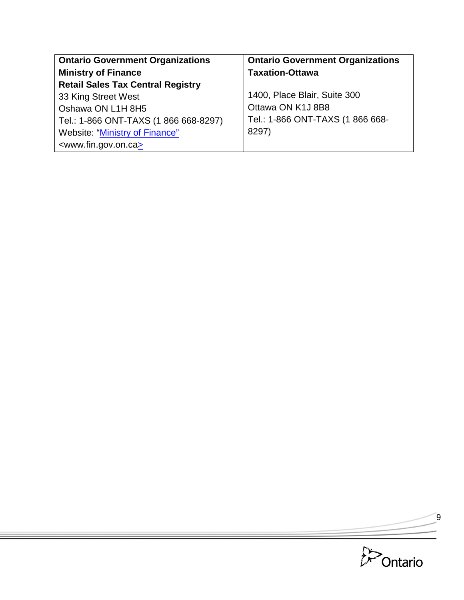| <b>Ontario Government Organizations</b>  | <b>Ontario Government Organizations</b> |
|------------------------------------------|-----------------------------------------|
| <b>Ministry of Finance</b>               | <b>Taxation-Ottawa</b>                  |
| <b>Retail Sales Tax Central Registry</b> |                                         |
| 33 King Street West                      | 1400, Place Blair, Suite 300            |
| Oshawa ON L1H 8H5                        | Ottawa ON K1J 8B8                       |
| Tel.: 1-866 ONT-TAXS (1 866 668-8297)    | Tel.: 1-866 ONT-TAXS (1 866 668-        |
| <b>Website: "Ministry of Finance"</b>    | 8297)                                   |
| <www.fin.gov.on.ca></www.fin.gov.on.ca>  |                                         |

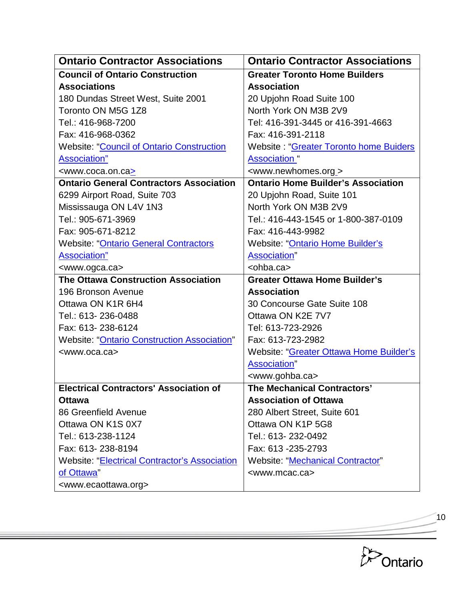| <b>Ontario Contractor Associations</b>               | <b>Ontario Contractor Associations</b>        |
|------------------------------------------------------|-----------------------------------------------|
| <b>Council of Ontario Construction</b>               | <b>Greater Toronto Home Builders</b>          |
| <b>Associations</b>                                  | <b>Association</b>                            |
| 180 Dundas Street West, Suite 2001                   | 20 Upjohn Road Suite 100                      |
| Toronto ON M5G 1Z8                                   | North York ON M3B 2V9                         |
| Tel.: 416-968-7200                                   | Tel: 416-391-3445 or 416-391-4663             |
| Fax: 416-968-0362                                    | Fax: 416-391-2118                             |
| <b>Website: "Council of Ontario Construction</b>     | <b>Website: "Greater Toronto home Buiders</b> |
| <b>Association</b> "                                 | <b>Association</b> "                          |
| <www.coca.on.ca></www.coca.on.ca>                    | <www.newhomes.org></www.newhomes.org>         |
| <b>Ontario General Contractors Association</b>       | <b>Ontario Home Builder's Association</b>     |
| 6299 Airport Road, Suite 703                         | 20 Upjohn Road, Suite 101                     |
| Mississauga ON L4V 1N3                               | North York ON M3B 2V9                         |
| Tel.: 905-671-3969                                   | Tel.: 416-443-1545 or 1-800-387-0109          |
| Fax: 905-671-8212                                    | Fax: 416-443-9982                             |
| <b>Website: "Ontario General Contractors</b>         | Website: "Ontario Home Builder's              |
| <b>Association</b> "                                 | <b>Association</b> "                          |
| <www.ogca.ca></www.ogca.ca>                          | <ohba.ca></ohba.ca>                           |
| <b>The Ottawa Construction Association</b>           | <b>Greater Ottawa Home Builder's</b>          |
| 196 Bronson Avenue                                   | <b>Association</b>                            |
| Ottawa ON K1R 6H4                                    | 30 Concourse Gate Suite 108                   |
|                                                      |                                               |
| Tel.: 613-236-0488                                   | Ottawa ON K2E 7V7                             |
| Fax: 613-238-6124                                    | Tel: 613-723-2926                             |
| <b>Website: "Ontario Construction Association"</b>   | Fax: 613-723-2982                             |
| <www.oca.ca></www.oca.ca>                            | Website: "Greater Ottawa Home Builder's       |
|                                                      | <b>Association</b> "                          |
|                                                      | <www.gohba.ca></www.gohba.ca>                 |
| <b>Electrical Contractors' Association of</b>        | <b>The Mechanical Contractors'</b>            |
| <b>Ottawa</b>                                        | <b>Association of Ottawa</b>                  |
| 86 Greenfield Avenue                                 | 280 Albert Street, Suite 601                  |
| Ottawa ON K1S 0X7                                    | Ottawa ON K1P 5G8                             |
| Tel.: 613-238-1124                                   | Tel.: 613-232-0492                            |
| Fax: 613-238-8194                                    | Fax: 613 -235-2793                            |
| <b>Website: "Electrical Contractor's Association</b> | <b>Website: "Mechanical Contractor"</b>       |
| of Ottawa"                                           | <www.mcac.ca></www.mcac.ca>                   |

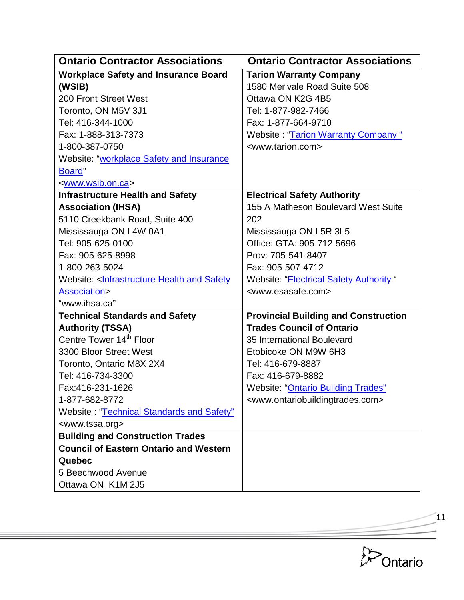| <b>Ontario Contractor Associations</b>             | <b>Ontario Contractor Associations</b>                          |
|----------------------------------------------------|-----------------------------------------------------------------|
| <b>Workplace Safety and Insurance Board</b>        | <b>Tarion Warranty Company</b>                                  |
| (WSIB)                                             | 1580 Merivale Road Suite 508                                    |
| 200 Front Street West                              | Ottawa ON K2G 4B5                                               |
| Toronto, ON M5V 3J1                                | Tel: 1-877-982-7466                                             |
| Tel: 416-344-1000                                  | Fax: 1-877-664-9710                                             |
| Fax: 1-888-313-7373                                | <b>Website: "Tarion Warranty Company"</b>                       |
| 1-800-387-0750                                     | <www.tarion.com></www.tarion.com>                               |
| Website: "workplace Safety and Insurance           |                                                                 |
| Board"                                             |                                                                 |
| <www.wsib.on.ca></www.wsib.on.ca>                  |                                                                 |
| <b>Infrastructure Health and Safety</b>            | <b>Electrical Safety Authority</b>                              |
| <b>Association (IHSA)</b>                          | 155 A Matheson Boulevard West Suite                             |
| 5110 Creekbank Road, Suite 400                     | 202                                                             |
| Mississauga ON L4W 0A1                             | Mississauga ON L5R 3L5                                          |
| Tel: 905-625-0100                                  | Office: GTA: 905-712-5696                                       |
| Fax: 905-625-8998                                  | Prov: 705-541-8407                                              |
| 1-800-263-5024                                     | Fax: 905-507-4712                                               |
| Website: < <b>Infrastructure Health and Safety</b> | <b>Website: "Electrical Safety Authority."</b>                  |
| <b>Association&gt;</b>                             | <www.esasafe.com></www.esasafe.com>                             |
| "www.ihsa.ca"                                      |                                                                 |
| <b>Technical Standards and Safety</b>              | <b>Provincial Building and Construction</b>                     |
| <b>Authority (TSSA)</b>                            | <b>Trades Council of Ontario</b>                                |
| Centre Tower 14 <sup>th</sup> Floor                | 35 International Boulevard                                      |
| 3300 Bloor Street West                             | Etobicoke ON M9W 6H3                                            |
| Toronto, Ontario M8X 2X4                           | Tel: 416-679-8887                                               |
| Tel: 416-734-3300                                  | Fax: 416-679-8882                                               |
| Fax:416-231-1626                                   | <b>Website: "Ontario Building Trades"</b>                       |
| 1-877-682-8772                                     | <www.ontariobuildingtrades.com></www.ontariobuildingtrades.com> |
| Website: "Technical Standards and Safety"          |                                                                 |
| <www.tssa.org></www.tssa.org>                      |                                                                 |
| <b>Building and Construction Trades</b>            |                                                                 |
| <b>Council of Eastern Ontario and Western</b>      |                                                                 |
| Quebec                                             |                                                                 |
| 5 Beechwood Avenue                                 |                                                                 |
| Ottawa ON K1M 2J5                                  |                                                                 |

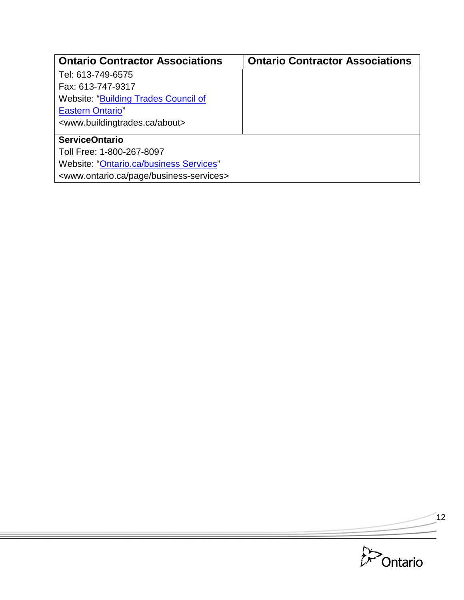| <b>Ontario Contractor Associations</b>                         | <b>Ontario Contractor Associations</b> |
|----------------------------------------------------------------|----------------------------------------|
| Tel: 613-749-6575                                              |                                        |
| Fax: 613-747-9317                                              |                                        |
| <b>Website: "Building Trades Council of</b>                    |                                        |
| <b>Eastern Ontario"</b>                                        |                                        |
| <www.buildingtrades.ca about=""></www.buildingtrades.ca>       |                                        |
| <b>ServiceOntario</b>                                          |                                        |
| Toll Free: 1-800-267-8097                                      |                                        |
| Website: "Ontario.ca/business Services"                        |                                        |
| <www.ontario.ca business-services="" page=""></www.ontario.ca> |                                        |

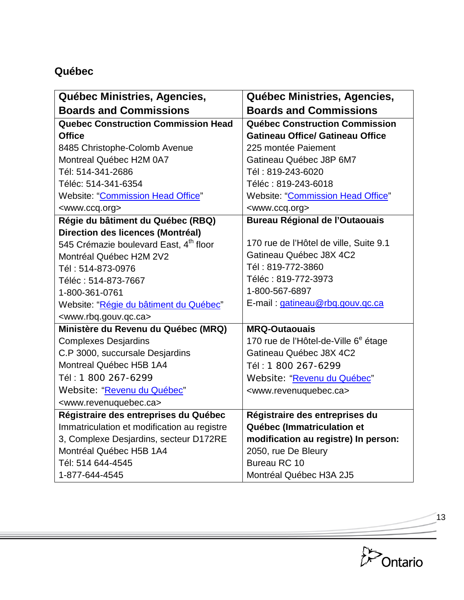## **Québec**

| Québec Ministries, Agencies,                       | Québec Ministries, Agencies,                     |
|----------------------------------------------------|--------------------------------------------------|
| <b>Boards and Commissions</b>                      | <b>Boards and Commissions</b>                    |
| <b>Quebec Construction Commission Head</b>         | Québec Construction Commission                   |
| <b>Office</b>                                      | <b>Gatineau Office/ Gatineau Office</b>          |
| 8485 Christophe-Colomb Avenue                      | 225 montée Paiement                              |
| Montreal Québec H2M 0A7                            | Gatineau Québec J8P 6M7                          |
| Tél: 514-341-2686                                  | Tél: 819-243-6020                                |
| Téléc: 514-341-6354                                | Téléc: 819-243-6018                              |
| <b>Website: "Commission Head Office"</b>           | <b>Website: "Commission Head Office"</b>         |
| <www.ccq.org></www.ccq.org>                        | <www.ccq.org></www.ccq.org>                      |
| Régie du bâtiment du Québec (RBQ)                  | <b>Bureau Régional de l'Outaouais</b>            |
| <b>Direction des licences (Montréal)</b>           |                                                  |
| 545 Crémazie boulevard East, 4 <sup>th</sup> floor | 170 rue de l'Hôtel de ville, Suite 9.1           |
| Montréal Québec H2M 2V2                            | Gatineau Québec J8X 4C2                          |
| Tél: 514-873-0976                                  | Tél: 819-772-3860                                |
| Téléc: 514-873-7667                                | Téléc: 819-772-3973                              |
| 1-800-361-0761                                     | 1-800-567-6897                                   |
| Website: "Régie du bâtiment du Québec"             | E-mail: gatineau@rbq.gouv.qc.ca                  |
| <www.rbq.gouv.qc.ca></www.rbq.gouv.qc.ca>          |                                                  |
| Ministère du Revenu du Québec (MRQ)                | <b>MRQ-Outaouais</b>                             |
| <b>Complexes Desjardins</b>                        | 170 rue de l'Hôtel-de-Ville 6 <sup>e</sup> étage |
| C.P 3000, succursale Desjardins                    | Gatineau Québec J8X 4C2                          |
| Montreal Québec H5B 1A4                            | Tél: 1 800 267-6299                              |
| Tél: 1 800 267-6299                                | Website: "Revenu du Québec"                      |
| Website: "Revenu du Québec"                        | <www.revenuquebec.ca></www.revenuquebec.ca>      |
| <www.revenuquebec.ca></www.revenuquebec.ca>        |                                                  |
| Régistraire des entreprises du Québec              | Régistraire des entreprises du                   |
| Immatriculation et modification au registre        | Québec (Immatriculation et                       |
| 3, Complexe Desjardins, secteur D172RE             | modification au registre) In person:             |
| Montréal Québec H5B 1A4                            | 2050, rue De Bleury                              |
| Tél: 514 644-4545                                  | Bureau RC 10                                     |
| 1-877-644-4545                                     | Montréal Québec H3A 2J5                          |

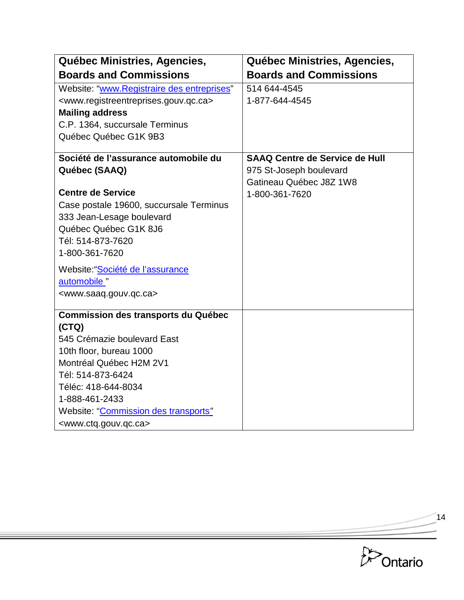| Québec Ministries, Agencies,                                              | Québec Ministries, Agencies,          |
|---------------------------------------------------------------------------|---------------------------------------|
| <b>Boards and Commissions</b>                                             | <b>Boards and Commissions</b>         |
| Website: "www.Registraire des entreprises"                                | 514 644-4545                          |
| <www.registreentreprises.gouv.gc.ca></www.registreentreprises.gouv.gc.ca> | 1-877-644-4545                        |
| <b>Mailing address</b>                                                    |                                       |
| C.P. 1364, succursale Terminus                                            |                                       |
| Québec Québec G1K 9B3                                                     |                                       |
| Société de l'assurance automobile du                                      | <b>SAAQ Centre de Service de Hull</b> |
| Québec (SAAQ)                                                             | 975 St-Joseph boulevard               |
|                                                                           | Gatineau Québec J8Z 1W8               |
| <b>Centre de Service</b>                                                  | 1-800-361-7620                        |
| Case postale 19600, succursale Terminus                                   |                                       |
| 333 Jean-Lesage boulevard                                                 |                                       |
| Québec Québec G1K 8J6                                                     |                                       |
| Tél: 514-873-7620                                                         |                                       |
| 1-800-361-7620                                                            |                                       |
| Website: "Société de l'assurance                                          |                                       |
| automobile "                                                              |                                       |
| <www.saaq.gouv.qc.ca></www.saaq.gouv.qc.ca>                               |                                       |
| <b>Commission des transports du Québec</b>                                |                                       |
| (CTQ)                                                                     |                                       |
| 545 Crémazie boulevard East                                               |                                       |
| 10th floor, bureau 1000                                                   |                                       |
| Montréal Québec H2M 2V1                                                   |                                       |
| Tél: 514-873-6424                                                         |                                       |
| Téléc: 418-644-8034                                                       |                                       |
| 1-888-461-2433                                                            |                                       |
| Website: "Commission des transports"                                      |                                       |
| <www.ctq.gouv.qc.ca></www.ctq.gouv.qc.ca>                                 |                                       |

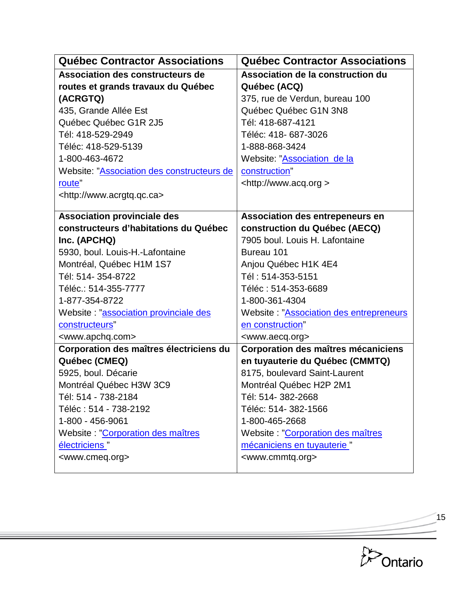| <b>Québec Contractor Associations</b>      | <b>Québec Contractor Associations</b>   |
|--------------------------------------------|-----------------------------------------|
| <b>Association des constructeurs de</b>    | Association de la construction du       |
| routes et grands travaux du Québec         | Québec (ACQ)                            |
| (ACRGTQ)                                   | 375, rue de Verdun, bureau 100          |
| 435, Grande Allée Est                      | Québec Québec G1N 3N8                   |
| Québec Québec G1R 2J5                      | Tél: 418-687-4121                       |
| Tél: 418-529-2949                          | Téléc: 418- 687-3026                    |
| Téléc: 418-529-5139                        | 1-888-868-3424                          |
| 1-800-463-4672                             | Website: "Association de la             |
| Website: "Association des constructeurs de | construction"                           |
| route"                                     | <http: www.acq.org=""></http:>          |
| <http: www.acrgtq.qc.ca=""></http:>        |                                         |
| <b>Association provinciale des</b>         | <b>Association des entrepeneurs en</b>  |
| constructeurs d'habitations du Québec      | construction du Québec (AECQ)           |
| Inc. (APCHQ)                               | 7905 boul. Louis H. Lafontaine          |
| 5930, boul. Louis-H.-Lafontaine            | Bureau 101                              |
| Montréal, Québec H1M 1S7                   | Anjou Québec H1K 4E4                    |
| Tél: 514- 354-8722                         | Tél: 514-353-5151                       |
| Téléc.: 514-355-7777                       | Téléc: 514-353-6689                     |
| 1-877-354-8722                             | 1-800-361-4304                          |
| Website: "association provinciale des      | Website: "Association des entrepreneurs |
| constructeurs"                             | en construction"                        |
| <www.apchq.com></www.apchq.com>            | <www.aecq.org></www.aecq.org>           |
| Corporation des maîtres électriciens du    | Corporation des maîtres mécaniciens     |
| Québec (CMEQ)                              | en tuyauterie du Québec (CMMTQ)         |
| 5925, boul. Décarie                        | 8175, boulevard Saint-Laurent           |
| Montréal Québec H3W 3C9                    | Montréal Québec H2P 2M1                 |
| Tél: 514 - 738-2184                        | Tél: 514- 382-2668                      |
| Téléc: 514 - 738-2192                      | Téléc: 514-382-1566                     |
| 1-800 - 456-9061                           | 1-800-465-2668                          |
| Website: "Corporation des maîtres          | Website: "Corporation des maîtres       |
| électriciens"                              | mécaniciens en tuyauterie"              |
| <www.cmeq.org></www.cmeq.org>              | <www.cmmtq.org></www.cmmtq.org>         |

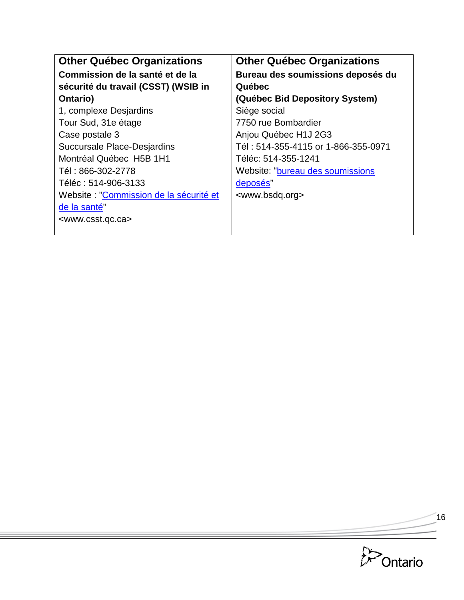| <b>Other Québec Organizations</b>       | <b>Other Québec Organizations</b>   |
|-----------------------------------------|-------------------------------------|
| Commission de la santé et de la         | Bureau des soumissions deposés du   |
| sécurité du travail (CSST) (WSIB in     | Québec                              |
| Ontario)                                | (Québec Bid Depository System)      |
| 1, complexe Desjardins                  | Siège social                        |
| Tour Sud, 31e étage                     | 7750 rue Bombardier                 |
| Case postale 3                          | Anjou Québec H1J 2G3                |
| <b>Succursale Place-Desjardins</b>      | Tél: 514-355-4115 or 1-866-355-0971 |
| Montréal Québec H5B 1H1                 | Téléc: 514-355-1241                 |
| Tél: 866-302-2778                       | Website: "bureau des soumissions    |
| Téléc: 514-906-3133                     | deposés"                            |
| Website : "Commission de la sécurité et | <www.bsdq.org></www.bsdq.org>       |
| de la santé"                            |                                     |
| <www.csst.qc.ca></www.csst.qc.ca>       |                                     |
|                                         |                                     |